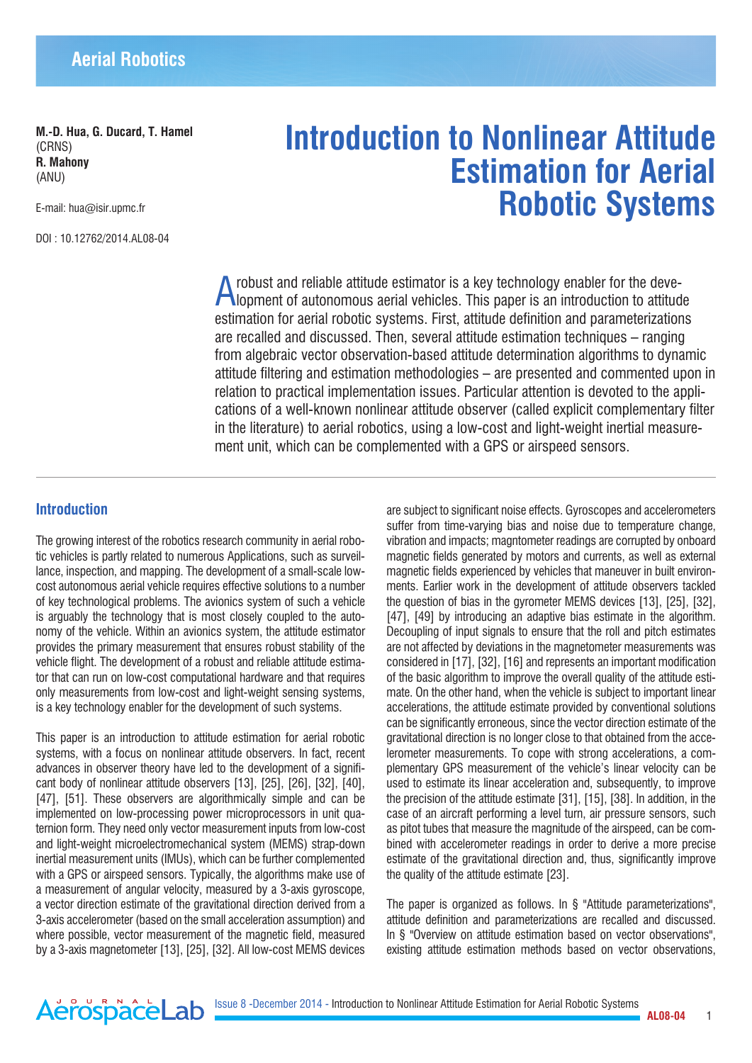**M.-D. Hua, G. Ducard, T. Hamel**  (CRNS) **R. Mahony** (ANU)

E-mail: hua@isir.upmc.fr

DOI : 10.12762/2014.AL08-04

# **Introduction to Nonlinear Attitude Estimation for Aerial Robotic Systems**

A robust and reliable attitude estimator is a key technology enabler for the deve-lopment of autonomous aerial vehicles. This paper is an introduction to attitude estimation for aerial robotic systems. First, attitude definition and parameterizations are recalled and discussed. Then, several attitude estimation techniques – ranging from algebraic vector observation-based attitude determination algorithms to dynamic attitude filtering and estimation methodologies – are presented and commented upon in relation to practical implementation issues. Particular attention is devoted to the applications of a well-known nonlinear attitude observer (called explicit complementary filter in the literature) to aerial robotics, using a low-cost and light-weight inertial measurement unit, which can be complemented with a GPS or airspeed sensors.

# **Introduction**

The growing interest of the robotics research community in aerial robotic vehicles is partly related to numerous Applications, such as surveillance, inspection, and mapping. The development of a small-scale lowcost autonomous aerial vehicle requires effective solutions to a number of key technological problems. The avionics system of such a vehicle is arguably the technology that is most closely coupled to the autonomy of the vehicle. Within an avionics system, the attitude estimator provides the primary measurement that ensures robust stability of the vehicle flight. The development of a robust and reliable attitude estimator that can run on low-cost computational hardware and that requires only measurements from low-cost and light-weight sensing systems, is a key technology enabler for the development of such systems.

This paper is an introduction to attitude estimation for aerial robotic systems, with a focus on nonlinear attitude observers. In fact, recent advances in observer theory have led to the development of a significant body of nonlinear attitude observers [13], [25], [26], [32], [40], [47], [51]. These observers are algorithmically simple and can be implemented on low-processing power microprocessors in unit quaternion form. They need only vector measurement inputs from low-cost and light-weight microelectromechanical system (MEMS) strap-down inertial measurement units (IMUs), which can be further complemented with a GPS or airspeed sensors. Typically, the algorithms make use of a measurement of angular velocity, measured by a 3-axis gyroscope, a vector direction estimate of the gravitational direction derived from a 3-axis accelerometer (based on the small acceleration assumption) and where possible, vector measurement of the magnetic field, measured by a 3-axis magnetometer [13], [25], [32]. All low-cost MEMS devices

AerospaceLab

are subject to significant noise effects. Gyroscopes and accelerometers suffer from time-varying bias and noise due to temperature change, vibration and impacts; magntometer readings are corrupted by onboard magnetic fields generated by motors and currents, as well as external magnetic fields experienced by vehicles that maneuver in built environments. Earlier work in the development of attitude observers tackled the question of bias in the gyrometer MEMS devices [13], [25], [32], [47], [49] by introducing an adaptive bias estimate in the algorithm. Decoupling of input signals to ensure that the roll and pitch estimates are not affected by deviations in the magnetometer measurements was considered in [17], [32], [16] and represents an important modification of the basic algorithm to improve the overall quality of the attitude estimate. On the other hand, when the vehicle is subject to important linear accelerations, the attitude estimate provided by conventional solutions can be significantly erroneous, since the vector direction estimate of the gravitational direction is no longer close to that obtained from the accelerometer measurements. To cope with strong accelerations, a complementary GPS measurement of the vehicle's linear velocity can be used to estimate its linear acceleration and, subsequently, to improve the precision of the attitude estimate [31], [15], [38]. In addition, in the case of an aircraft performing a level turn, air pressure sensors, such as pitot tubes that measure the magnitude of the airspeed, can be combined with accelerometer readings in order to derive a more precise estimate of the gravitational direction and, thus, significantly improve the quality of the attitude estimate [23].

The paper is organized as follows. In § "Attitude parameterizations", attitude definition and parameterizations are recalled and discussed. In § "Overview on attitude estimation based on vector observations", existing attitude estimation methods based on vector observations,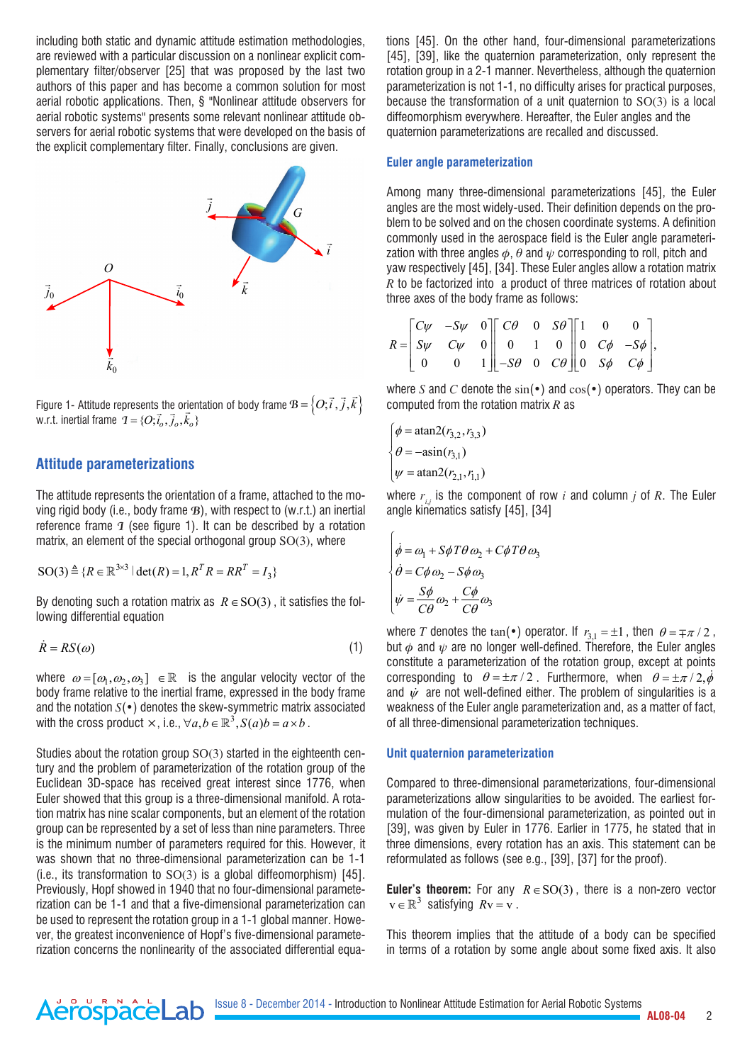including both static and dynamic attitude estimation methodologies, are reviewed with a particular discussion on a nonlinear explicit complementary filter/observer [25] that was proposed by the last two authors of this paper and has become a common solution for most aerial robotic applications. Then, § "Nonlinear attitude observers for aerial robotic systems" presents some relevant nonlinear attitude observers for aerial robotic systems that were developed on the basis of the explicit complementary filter. Finally, conclusions are given.



Figure 1- Attitude represents the orientation of body frame  $B = \left\{O; \vec{i}, \vec{j}, \vec{k}\right\}$ w.r.t. inertial frame  ${\bf 1} = \{O, \vec{i}_o, \vec{j}_o, \vec{k}_o\}$ 

# **Attitude parameterizations**

The attitude represents the orientation of a frame, attached to the moving rigid body (i.e., body frame *B*), with respect to (w.r.t.) an inertial reference frame *I* (see figure 1). It can be described by a rotation matrix, an element of the special orthogonal group SO(3), where

$$
SO(3) \triangleq \{R \in \mathbb{R}^{3 \times 3} | \det(R) = 1, R^T R = R R^T = I_3\}
$$

By denoting such a rotation matrix as *R*∈SO(3) , it satisfies the following differential equation

$$
\dot{R} = RS(\omega) \tag{1}
$$

where  $\omega = [\omega_1, \omega_2, \omega_3] \in \mathbb{R}$  is the angular velocity vector of the body frame relative to the inertial frame, expressed in the body frame and the notation *S*(•) denotes the skew-symmetric matrix associated with the cross product  $\times$ , i.e.,  $\forall a, b \in \mathbb{R}^3$ ,  $S(a)b = a \times b$  .

Studies about the rotation group SO(3) started in the eighteenth century and the problem of parameterization of the rotation group of the Euclidean 3D-space has received great interest since 1776, when Euler showed that this group is a three-dimensional manifold. A rotation matrix has nine scalar components, but an element of the rotation group can be represented by a set of less than nine parameters. Three is the minimum number of parameters required for this. However, it was shown that no three-dimensional parameterization can be 1-1 (i.e., its transformation to  $SO(3)$  is a global diffeomorphism) [45]. Previously, Hopf showed in 1940 that no four-dimensional parameterization can be 1-1 and that a five-dimensional parameterization can be used to represent the rotation group in a 1-1 global manner. However, the greatest inconvenience of Hopf's five-dimensional parameterization concerns the nonlinearity of the associated differential equa-

AerospaceLab

tions [45]. On the other hand, four-dimensional parameterizations [45], [39], like the quaternion parameterization, only represent the rotation group in a 2-1 manner. Nevertheless, although the quaternion parameterization is not 1-1, no difficulty arises for practical purposes, because the transformation of a unit quaternion to SO(3) is a local diffeomorphism everywhere. Hereafter, the Euler angles and the quaternion parameterizations are recalled and discussed.

#### **Euler angle parameterization**

Among many three-dimensional parameterizations [45], the Euler angles are the most widely-used. Their definition depends on the problem to be solved and on the chosen coordinate systems. A definition commonly used in the aerospace field is the Euler angle parameterization with three angles  $\phi$ ,  $\theta$  and  $\psi$  corresponding to roll, pitch and yaw respectively [45], [34]. These Euler angles allow a rotation matrix *R* to be factorized into a product of three matrices of rotation about three axes of the body frame as follows:

$$
R = \begin{bmatrix} C\psi & -S\psi & 0 \\ S\psi & C\psi & 0 \\ 0 & 0 & 1 \end{bmatrix} \begin{bmatrix} C\theta & 0 & S\theta \\ 0 & 1 & 0 \\ -S\theta & 0 & C\theta \end{bmatrix} \begin{bmatrix} 1 & 0 & 0 \\ 0 & C\phi & -S\phi \\ 0 & S\phi & C\phi \end{bmatrix},
$$

where *S* and *C* denote the  $sin(\cdot)$  and  $cos(\cdot)$  operators. They can be computed from the rotation matrix *R* as

$$
\begin{cases} \phi = \operatorname{atan2}(r_{3,2}, r_{3,3}) \\ \theta = -\operatorname{asin}(r_{3,1}) \\ \psi = \operatorname{atan2}(r_{2,1}, r_{1,1}) \end{cases}
$$

 $\overline{1}$ 

where  $r_{ij}$  is the component of row *i* and column *j* of *R*. The Euler angle kinematics satisfy [45], [34]

$$
\begin{cases}\n\dot{\phi} = \omega_1 + S\phi T\theta \omega_2 + C\phi T\theta \omega_3 \\
\dot{\theta} = C\phi \omega_2 - S\phi \omega_3 \\
\dot{\psi} = \frac{S\phi}{C\theta} \omega_2 + \frac{C\phi}{C\theta} \omega_3\n\end{cases}
$$

where *T* denotes the tan(•) operator. If  $r_{3,1} = \pm 1$ , then  $\theta = \mp \pi / 2$ , but  $\phi$  and  $\psi$  are no longer well-defined. Therefore, the Euler angles constitute a parameterization of the rotation group, except at points corresponding to  $\theta = \pm \pi / 2$ . Furthermore, when  $\theta = \pm \pi / 2, \dot{\theta}$ and  $\dot{\psi}$  are not well-defined either. The problem of singularities is a weakness of the Euler angle parameterization and, as a matter of fact, of all three-dimensional parameterization techniques.

#### **Unit quaternion parameterization**

Compared to three-dimensional parameterizations, four-dimensional parameterizations allow singularities to be avoided. The earliest formulation of the four-dimensional parameterization, as pointed out in [39], was given by Euler in 1776. Earlier in 1775, he stated that in three dimensions, every rotation has an axis. This statement can be reformulated as follows (see e.g., [39], [37] for the proof).

**Euler's theorem:** For any *R*∈SO(3) , there is a non-zero vector  $v \in \mathbb{R}^3$  satisfying  $Rv = v$ .

This theorem implies that the attitude of a body can be specified in terms of a rotation by some angle about some fixed axis. It also

Issue 8 - December 2014 - Introduction to Nonlinear Attitude Estimation for Aerial Robotic Systems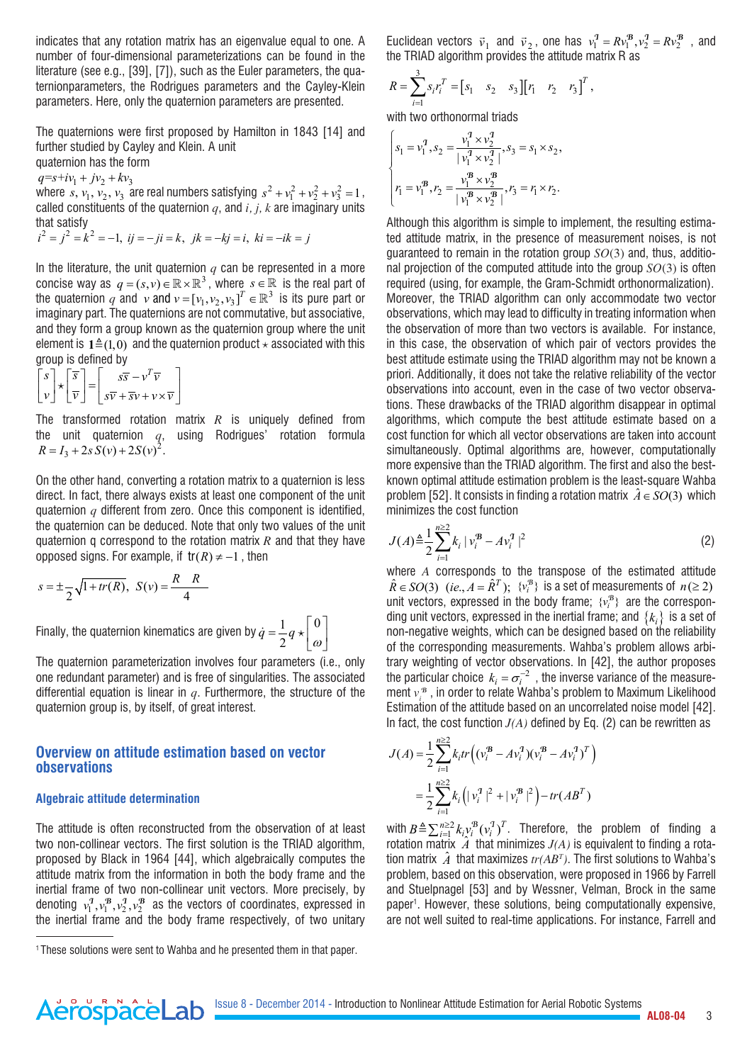indicates that any rotation matrix has an eigenvalue equal to one. A number of four-dimensional parameterizations can be found in the literature (see e.g., [39], [7]), such as the Euler parameters, the quaternionparameters, the Rodrigues parameters and the Cayley-Klein parameters. Here, only the quaternion parameters are presented.

The quaternions were first proposed by Hamilton in 1843 [14] and further studied by Cayley and Klein. A unit

quaternion has the form

 $q = s + iv_1 + jv_2 + kv_3$ 

where  $s, v_1, v_2, v_3$  are real numbers satisfying  $s^2 + v_1^2 + v_2^2 + v_3^2 = 1$ , called constituents of the quaternion *q*, and *i, j, k* are imaginary units that satisfy

$$
i^2 = j^2 = k^2 = -1
$$
,  $ij = -ji = k$ ,  $jk = -kj = i$ ,  $ki = -ik = j$ 

In the literature, the unit quaternion  $q$  can be represented in a more concise way as  $q = (s, v) \in \mathbb{R} \times \mathbb{R}^3$ , where  $s \in \mathbb{R}$  is the real part of the quaternion  $q$  and  $v$  and  $v = [v_1, v_2, v_3]^T \in \mathbb{R}^3$  is its pure part or imaginary part. The quaternions are not commutative, but associative, and they form a group known as the quaternion group where the unit element is  $\mathbf{1} \triangleq (1,0)$  and the quaternion product  $\star$  associated with this group is defined by

$$
\begin{bmatrix} s \\ v \end{bmatrix} \star \begin{bmatrix} \overline{s} \\ \overline{v} \end{bmatrix} = \begin{bmatrix} s\overline{s} - v^T \overline{v} \\ s\overline{v} + \overline{s}v + v \times \overline{v} \end{bmatrix}
$$

The transformed rotation matrix *R* is uniquely defined from the unit quaternion *q*, using Rodrigues' rotation formula  $R = I_3 + 2s S(v) + 2S(v)^2$ .

On the other hand, converting a rotation matrix to a quaternion is less direct. In fact, there always exists at least one component of the unit quaternion *q* different from zero. Once this component is identified, the quaternion can be deduced. Note that only two values of the unit quaternion q correspond to the rotation matrix *R* and that they have opposed signs. For example, if  $tr(R) \neq -1$ , then

$$
s = \pm \frac{1}{2} \sqrt{1 + tr(R)}, \ \ S(v) = \frac{R \ R}{4}
$$

Finally, the quaternion kinematics are given by  $\dot{q} = \frac{1}{2}q \star \begin{bmatrix} 0 \ \omega \end{bmatrix}$ 

The quaternion parameterization involves four parameters (i.e., only one redundant parameter) and is free of singularities. The associated differential equation is linear in *q*. Furthermore, the structure of the quaternion group is, by itself, of great interest.

# **Overview on attitude estimation based on vector observations**

## **Algebraic attitude determination**

AerospaceLab

The attitude is often reconstructed from the observation of at least two non-collinear vectors. The first solution is the TRIAD algorithm, proposed by Black in 1964 [44], which algebraically computes the attitude matrix from the information in both the body frame and the inertial frame of two non-collinear unit vectors. More precisely, by denoting  $v_1^1, v_1^B, v_2^1, v_2^B$  as the vectors of coordinates, expressed in the inertial frame and the body frame respectively, of two unitary Euclidean vectors  $\vec{v}_1$  and  $\vec{v}_2$ , one has  $v_1^2 = R v_1^B$ ,  $v_2^2 = R v_2^B$ , and the TRIAD algorithm provides the attitude matrix R as

$$
R = \sum_{i=1}^{3} s_i r_i^T = [s_1 \quad s_2 \quad s_3][r_1 \quad r_2 \quad r_3]^T,
$$

with two orthonormal triads

$$
\begin{cases}\ns_1 = v_1^{\mathcal{T}}, s_2 = \frac{v_1^{\mathcal{T}} \times v_2^{\mathcal{T}}}{|v_1^{\mathcal{T}} \times v_2^{\mathcal{T}}|}, s_3 = s_1 \times s_2, \\
r_1 = v_1^{\mathcal{B}}, r_2 = \frac{v_1^{\mathcal{B}} \times v_2^{\mathcal{B}}}{|v_1^{\mathcal{B}} \times v_2^{\mathcal{T}}|}, r_3 = r_1 \times r_2.\n\end{cases}
$$

Although this algorithm is simple to implement, the resulting estimated attitude matrix, in the presence of measurement noises, is not guaranteed to remain in the rotation group *SO*(3) and, thus, additional projection of the computed attitude into the group *SO*(3) is often required (using, for example, the Gram-Schmidt orthonormalization). Moreover, the TRIAD algorithm can only accommodate two vector observations, which may lead to difficulty in treating information when the observation of more than two vectors is available. For instance, in this case, the observation of which pair of vectors provides the best attitude estimate using the TRIAD algorithm may not be known a priori. Additionally, it does not take the relative reliability of the vector observations into account, even in the case of two vector observations. These drawbacks of the TRIAD algorithm disappear in optimal algorithms, which compute the best attitude estimate based on a cost function for which all vector observations are taken into account simultaneously. Optimal algorithms are, however, computationally more expensive than the TRIAD algorithm. The first and also the bestknown optimal attitude estimation problem is the least-square Wahba problem [52]. It consists in finding a rotation matrix  $\hat{A} \in SO(3)$  which minimizes the cost function

$$
J(A) \triangleq \frac{1}{2} \sum_{i=1}^{n \ge 2} k_i |v_i^{\mathcal{B}} - Av_i^{\mathcal{I}}|^2
$$
 (2)

where *A* corresponds to the transpose of the estimated attitude  $\hat{R} \in SO(3)$  (*ie.*,  $A = \hat{R}^T$ );  $\{v_i^B\}$  is a set of measurements of  $n(\geq 2)$ unit vectors, expressed in the body frame;  $\{v_i^{\mathcal{B}}\}$  are the corresponding unit vectors, expressed in the inertial frame; and  $\{k_i\}$  is a set of non-negative weights, which can be designed based on the reliability of the corresponding measurements. Wahba's problem allows arbitrary weighting of vector observations. In [42], the author proposes the particular choice  $k_i = \sigma_i^{-2}$ , the inverse variance of the measurement  $v_i^{\mathcal{B}}$ , in order to relate Wahba's problem to Maximum Likelihood Estimation of the attitude based on an uncorrelated noise model [42]. In fact, the cost function  $J(A)$  defined by Eq. (2) can be rewritten as

$$
J(A) = \frac{1}{2} \sum_{i=1}^{n \ge 2} k_i tr \left( (v_i^{\mathcal{B}} - A v_i^{\mathcal{I}}) (v_i^{\mathcal{B}} - A v_i^{\mathcal{I}})^T \right)
$$
  
= 
$$
\frac{1}{2} \sum_{i=1}^{n \ge 2} k_i \left( |v_i^{\mathcal{I}}|^2 + |v_i^{\mathcal{B}}|^2 \right) - tr(AB^T)
$$

with  $B \triangleq \sum_{i=1}^{n \geq 2} k_{i} y_i^{\mathcal{B}} (y_i^{\mathcal{I}})^T$ . Therefore, the problem of finding a rotation matrix  $\hat{A}$  that minimizes  $J(A)$  is equivalent to finding a rotation matrix  $\hat{A}$  that maximizes  $tr(AB^T)$ . The first solutions to Wahba's problem, based on this observation, were proposed in 1966 by Farrell and Stuelpnagel [53] and by Wessner, Velman, Brock in the same paper1 . However, these solutions, being computationally expensive, are not well suited to real-time applications. For instance, Farrell and

<sup>1</sup> These solutions were sent to Wahba and he presented them in that paper.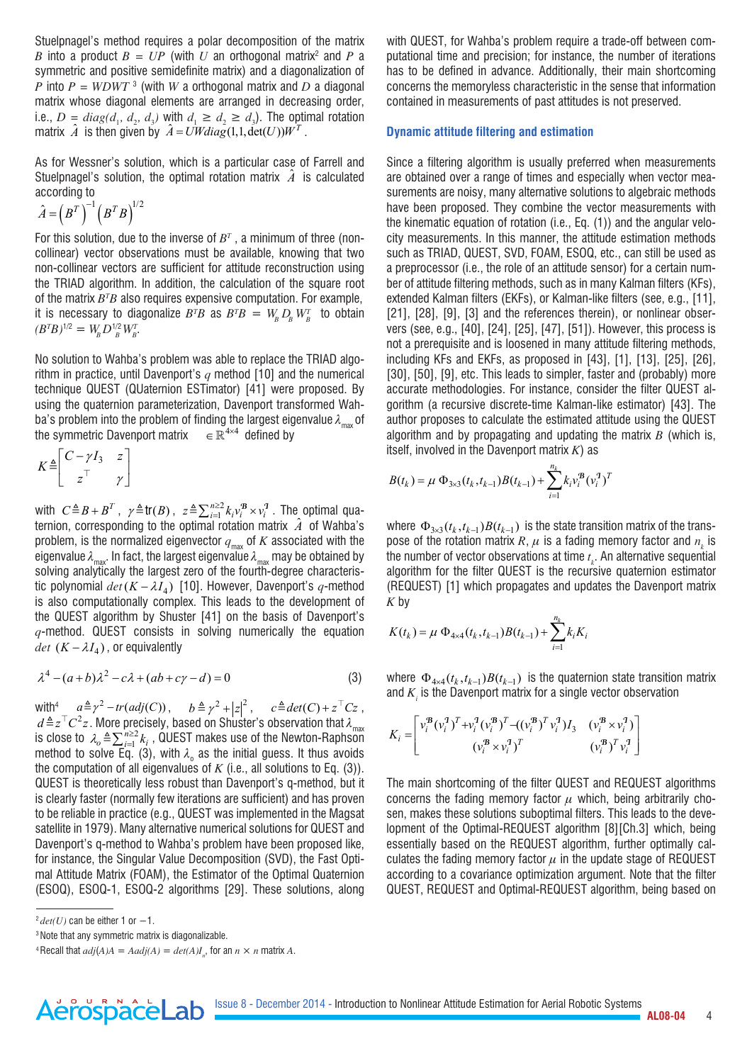Stuelpnagel's method requires a polar decomposition of the matrix *B* into a product  $B = UP$  (with  $U$  an orthogonal matrix<sup>2</sup> and  $P$  a symmetric and positive semidefinite matrix) and a diagonalization of *P* into  $P = W D W T$ <sup>3</sup> (with *W* a orthogonal matrix and *D* a diagonal matrix whose diagonal elements are arranged in decreasing order, i.e.,  $D = diag(d_1, d_2, d_3)$  with  $d_1 \geq d_2 \geq d_3$ ). The optimal rotation matrix  $\hat{A}$  is then given by  $\hat{A} = UWdiag(1,1,\det(U))W^T$ .

As for Wessner's solution, which is a particular case of Farrell and Stuelpnagel's solution, the optimal rotation matrix  $\hat{A}$  is calculated according to

$$
\hat{A} = \left(B^T\right)^{-1} \left(B^T B\right)^{1/2}
$$

For this solution, due to the inverse of  $B^\tau$  , a minimum of three (noncollinear) vector observations must be available, knowing that two non-collinear vectors are sufficient for attitude reconstruction using the TRIAD algorithm. In addition, the calculation of the square root of the matrix  $B^{\scriptscriptstyle T}B$  also requires expensive computation. For example, it is necessary to diagonalize  $B^T B$  as  $B^T B = W_{\!B} D_{\!B} W_{\!B}^T$  to obtain  $(B^T B)^{1/2} = W_B^T D_{B}^{1/2} W_B^T.$ 

No solution to Wahba's problem was able to replace the TRIAD algorithm in practice, until Davenport's *q* method [10] and the numerical technique QUEST (QUaternion ESTimator) [41] were proposed. By using the quaternion parameterization, Davenport transformed Wahba's problem into the problem of finding the largest eigenvalue  $\lambda_{\text{max}}$  of the symmetric Davenport matrix  $\in \mathbb{R}^{4 \times 4}$  defined by

$$
K \triangleq \begin{bmatrix} C - \gamma I_3 & z \\ z^\top & \gamma \end{bmatrix}
$$

with  $C\triangleq B + B^T$ ,  $\gamma \triangleq \text{tr}(B)$ ,  $z \triangleq \sum_{i=1}^{n\geq 2} k_i v_i^B \times v_i^T$ . The optimal quaternion, corresponding to the optimal rotation matrix  $\hat{A}$  of Wahba's problem, is the normalized eigenvector  $q_{\text{max}}$  of  $K$  associated with the eigenvalue  $\lambda_{\text{max}}$ . In fact, the largest eigenvalue  $\lambda_{\text{max}}$  may be obtained by solving analytically the largest zero of the fourth-degree characteristic polynomial  $det(K - \lambda I_4)$  [10]. However, Davenport's  $q$ -method is also computationally complex. This leads to the development of the QUEST algorithm by Shuster [41] on the basis of Davenport's *q*-method. QUEST consists in solving numerically the equation *det*  $(K - \lambda I_A)$ , or equivalently

$$
\lambda^4 - (a+b)\lambda^2 - c\lambda + (ab+c\gamma - d) = 0
$$
 (3)

with<sup>4</sup>  $a \triangleq \gamma^2 - tr(adj(C))$ ,  $b \triangleq \gamma^2 + |z|^2$ ,  $c \triangleq det(C) + z^\top Cz$ ,  $d \triangleq z^\top C^2 z$ . More precisely, based on Shuster's observation that  $\lambda_{\text{max}}$ is close to  $\lambda_o \triangleq \sum_{i=1}^{n \geq 2} k_i$ , QUEST makes use of the Newton-Raphson method to solve Eq. (3), with  $\lambda_{_{\mathrm{o}}}$  as the initial guess. It thus avoids the computation of all eigenvalues of  $K$  (i.e., all solutions to Eq. (3)). QUEST is theoretically less robust than Davenport's q-method, but it is clearly faster (normally few iterations are sufficient) and has proven to be reliable in practice (e.g., QUEST was implemented in the Magsat satellite in 1979). Many alternative numerical solutions for QUEST and Davenport's q-method to Wahba's problem have been proposed like, for instance, the Singular Value Decomposition (SVD), the Fast Optimal Attitude Matrix (FOAM), the Estimator of the Optimal Quaternion (ESOQ), ESOQ-1, ESOQ-2 algorithms [29]. These solutions, along

AerospaceLab

with QUEST, for Wahba's problem require a trade-off between computational time and precision; for instance, the number of iterations has to be defined in advance. Additionally, their main shortcoming concerns the memoryless characteristic in the sense that information contained in measurements of past attitudes is not preserved.

## **Dynamic attitude filtering and estimation**

Since a filtering algorithm is usually preferred when measurements are obtained over a range of times and especially when vector measurements are noisy, many alternative solutions to algebraic methods have been proposed. They combine the vector measurements with the kinematic equation of rotation (i.e., Eq. (1)) and the angular velocity measurements. In this manner, the attitude estimation methods such as TRIAD, QUEST, SVD, FOAM, ESOQ, etc., can still be used as a preprocessor (i.e., the role of an attitude sensor) for a certain number of attitude filtering methods, such as in many Kalman filters (KFs), extended Kalman filters (EKFs), or Kalman-like filters (see, e.g., [11], [21], [28], [9], [3] and the references therein), or nonlinear observers (see, e.g., [40], [24], [25], [47], [51]). However, this process is not a prerequisite and is loosened in many attitude filtering methods, including KFs and EKFs, as proposed in [43], [1], [13], [25], [26], [30], [50], [9], etc. This leads to simpler, faster and (probably) more accurate methodologies. For instance, consider the filter QUEST algorithm (a recursive discrete-time Kalman-like estimator) [43]. The author proposes to calculate the estimated attitude using the QUEST algorithm and by propagating and updating the matrix *B* (which is, itself, involved in the Davenport matrix *K*) as

$$
B(t_k) = \mu \Phi_{3\times 3}(t_k, t_{k-1})B(t_{k-1}) + \sum_{i=1}^{n_k} k_i v_i^B (v_i^T)^T
$$

where  $\Phi_{3\times 3}(t_k, t_{k-1}) B(t_{k-1})$  is the state transition matrix of the transpose of the rotation matrix R,  $\mu$  is a fading memory factor and  $n_{k}$  is the number of vector observations at time *t* . An alternative sequential algorithm for the filter QUEST is the recursive quaternion estimator (REQUEST) [1] which propagates and updates the Davenport matrix *K* by

$$
K(t_k) = \mu \Phi_{4 \times 4}(t_k, t_{k-1}) B(t_{k-1}) + \sum_{i=1}^{n_k} k_i K_i
$$

where  $\Phi_{4\times 4} (t_k, t_{k-1}) B(t_{k-1})$  is the quaternion state transition matrix and  $K_i$  is the Davenport matrix for a single vector observation

$$
K_{i} = \begin{bmatrix} v_{i}^{B} (v_{i}^{1})^{T} + v_{i}^{1} (v_{i}^{B})^{T} - ((v_{i}^{B})^{T} v_{i}^{1}) I_{3} & (v_{i}^{B} \times v_{i}^{1}) \\ (v_{i}^{B} \times v_{i}^{1})^{T} & (v_{i}^{B})^{T} v_{i}^{1} \end{bmatrix}
$$

The main shortcoming of the filter QUEST and REQUEST algorithms concerns the fading memory factor  $\mu$  which, being arbitrarily chosen, makes these solutions suboptimal filters. This leads to the development of the Optimal-REQUEST algorithm [8][Ch.3] which, being essentially based on the REQUEST algorithm, further optimally calculates the fading memory factor  $\mu$  in the update stage of REQUEST according to a covariance optimization argument. Note that the filter QUEST, REQUEST and Optimal-REQUEST algorithm, being based on

 $^{2}$  *det(U)* can be either 1 or  $-1$ .

<sup>3</sup> Note that any symmetric matrix is diagonalizable.

<sup>&</sup>lt;sup>4</sup> Recall that  $adj(A)A = Aadj(A) = det(A)I_n$ , for an  $n \times n$  matrix  $A$ .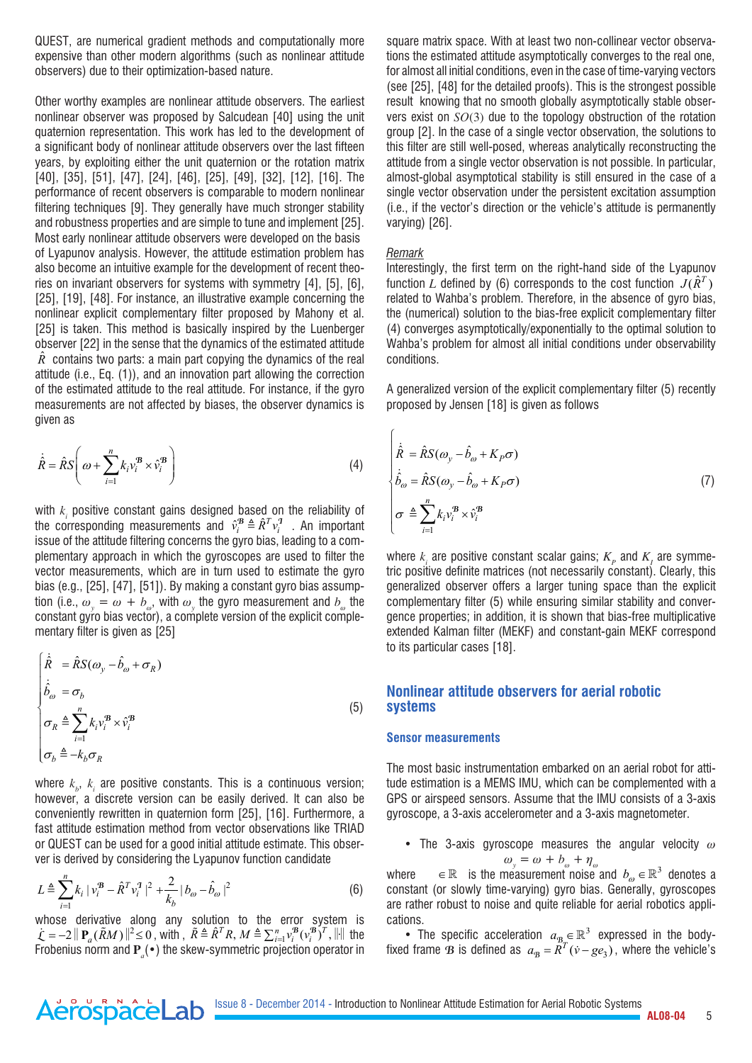QUEST, are numerical gradient methods and computationally more expensive than other modern algorithms (such as nonlinear attitude observers) due to their optimization-based nature.

Other worthy examples are nonlinear attitude observers. The earliest nonlinear observer was proposed by Salcudean [40] using the unit quaternion representation. This work has led to the development of a significant body of nonlinear attitude observers over the last fifteen years, by exploiting either the unit quaternion or the rotation matrix [40], [35], [51], [47], [24], [46], [25], [49], [32], [12], [16]. The performance of recent observers is comparable to modern nonlinear filtering techniques [9]. They generally have much stronger stability and robustness properties and are simple to tune and implement [25]. Most early nonlinear attitude observers were developed on the basis of Lyapunov analysis. However, the attitude estimation problem has also become an intuitive example for the development of recent theories on invariant observers for systems with symmetry [4], [5], [6], [25], [19], [48]. For instance, an illustrative example concerning the nonlinear explicit complementary filter proposed by Mahony et al. [25] is taken. This method is basically inspired by the Luenberger observer [22] in the sense that the dynamics of the estimated attitude  $\hat{R}$  contains two parts: a main part copying the dynamics of the real attitude (i.e., Eq. (1)), and an innovation part allowing the correction of the estimated attitude to the real attitude. For instance, if the gyro measurements are not affected by biases, the observer dynamics is given as

$$
\dot{\hat{R}} = \hat{R}S\left(\omega + \sum_{i=1}^{n} k_i v_i^{\mathcal{B}} \times \hat{v}_i^{\mathcal{B}}\right)
$$
\n(4)

with  $k<sub>i</sub>$  positive constant gains designed based on the reliability of the corresponding measurements and  $\hat{v}_i^B \triangleq \hat{R}^T v_i^T$  . An important issue of the attitude filtering concerns the gyro bias, leading to a complementary approach in which the gyroscopes are used to filter the vector measurements, which are in turn used to estimate the gyro bias (e.g., [25], [47], [51]). By making a constant gyro bias assumption (i.e.,  $\omega_{y} = \omega + b_{\omega}$ , with  $\omega_{y}$  the gyro measurement and  $b_{\omega}$  the constant gyro bias vector), a complete version of the explicit complementary filter is given as [25]

$$
\begin{cases}\n\dot{\hat{R}} = \hat{R}S(\omega_y - \hat{b}_\omega + \sigma_R) \\
\dot{\hat{b}}_\omega = \sigma_b \\
\sigma_R \triangleq \sum_{i=1}^n k_i v_i^B \times \hat{v}_i^B \\
\sigma_b \triangleq -k_b \sigma_R\n\end{cases}
$$
\n(5)

where  $k_{b}$ ,  $k_{i}$  are positive constants. This is a continuous version; however, a discrete version can be easily derived. It can also be conveniently rewritten in quaternion form [25], [16]. Furthermore, a fast attitude estimation method from vector observations like TRIAD or QUEST can be used for a good initial attitude estimate. This observer is derived by considering the Lyapunov function candidate

$$
L \triangleq \sum_{i=1}^{n} k_i |v_i^B - \hat{R}^T v_i^T|^2 + \frac{2}{k_b} |b_{\omega} - \hat{b}_{\omega}|^2
$$
 (6)

whose derivative along any solution to the error system is  $\mathcal{L} = -2 ||\mathbf{P}_a(\tilde{R}M)||^2 \le 0$ , with ,  $\tilde{R} \triangleq \hat{R}^T R$ ,  $M \triangleq \sum_{i=1}^n v_i^{\mathcal{B}} (v_i^{\mathcal{B}})^T$ ,  $||\|$  the Frobenius norm and **P***<sup>a</sup>* (•) the skew-symmetric projection operator in

AerospaceLab

square matrix space. With at least two non-collinear vector observations the estimated attitude asymptotically converges to the real one, for almost all initial conditions, even in the case of time-varying vectors (see [25], [48] for the detailed proofs). This is the strongest possible result knowing that no smooth globally asymptotically stable observers exist on *SO*(3) due to the topology obstruction of the rotation group [2]. In the case of a single vector observation, the solutions to this filter are still well-posed, whereas analytically reconstructing the attitude from a single vector observation is not possible. In particular, almost-global asymptotical stability is still ensured in the case of a single vector observation under the persistent excitation assumption (i.e., if the vector's direction or the vehicle's attitude is permanently varying) [26].

### *Remark*

Interestingly, the first term on the right-hand side of the Lyapunov function *L* defined by (6) corresponds to the cost function  $J(\hat{R}^T)$ related to Wahba's problem. Therefore, in the absence of gyro bias, the (numerical) solution to the bias-free explicit complementary filter (4) converges asymptotically/exponentially to the optimal solution to Wahba's problem for almost all initial conditions under observability conditions.

A generalized version of the explicit complementary filter (5) recently proposed by Jensen [18] is given as follows

$$
\begin{cases}\n\dot{\hat{R}} = \hat{R}S(\omega_y - \hat{b}_\omega + K_P\sigma) \\
\dot{\hat{b}}_\omega = \hat{R}S(\omega_y - \hat{b}_\omega + K_P\sigma) \\
\sigma \triangleq \sum_{i=1}^n k_i v_i^B \times \hat{v}_i^B\n\end{cases}
$$
\n(7)

where  $k_i$  are positive constant scalar gains;  $K_p$  and  $K_l$  are symmetric positive definite matrices (not necessarily constant). Clearly, this generalized observer offers a larger tuning space than the explicit complementary filter (5) while ensuring similar stability and convergence properties; in addition, it is shown that bias-free multiplicative extended Kalman filter (MEKF) and constant-gain MEKF correspond to its particular cases [18].

# **Nonlinear attitude observers for aerial robotic systems**

#### **Sensor measurements**

The most basic instrumentation embarked on an aerial robot for attitude estimation is a MEMS IMU, which can be complemented with a GPS or airspeed sensors. Assume that the IMU consists of a 3-axis gyroscope, a 3-axis accelerometer and a 3-axis magnetometer.

• The 3-axis gyroscope measures the angular velocity  $\omega$  $\omega_y = \omega + b_\omega + \eta_\omega$ 

where  $\in \mathbb{R}$  is the measurement noise and  $b_{\omega} \in \mathbb{R}^{3}$  denotes a constant (or slowly time-varying) gyro bias. Generally, gyroscopes are rather robust to noise and quite reliable for aerial robotics applications.

• The specific acceleration  $a_{B_{T}} \in \mathbb{R}^{3}$  expressed in the bodyfixed frame  $\mathbf{B}$  is defined as  $a_{\mathbf{B}} = \tilde{R}^T(\dot{v} - g e_3)$ , where the vehicle's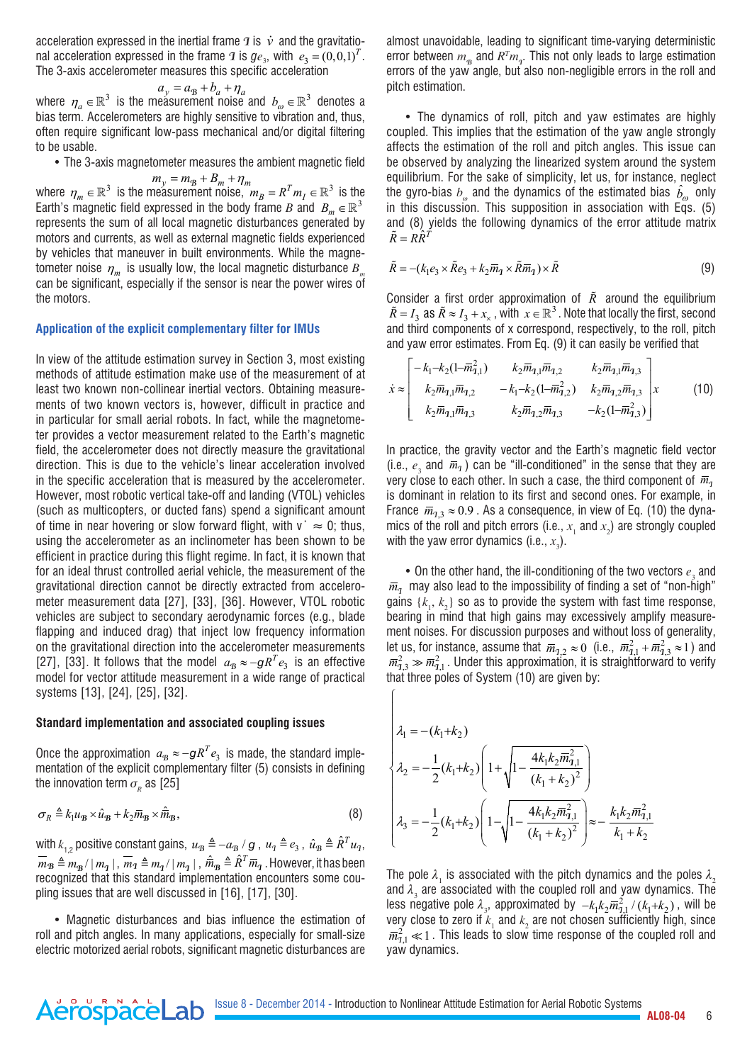acceleration expressed in the inertial frame  $\boldsymbol{\tau}$  is  $\boldsymbol{\dot{v}}$  and the gravitational acceleration expressed in the frame  $\bm{\mathcal{I}}$  is  $g e_{3}$ , with  $e_{3} = \left(0,0,1\right)^{T}$ . The 3-axis accelerometer measures this specific acceleration

$$
a_y = a_8 + b_a + \eta_a
$$

where  $\eta_a \in \mathbb{R}^3$  is the measurement noise and  $b_\omega \in \mathbb{R}^3$  denotes a bias term. Accelerometers are highly sensitive to vibration and, thus, often require significant low-pass mechanical and/or digital filtering to be usable.

• The 3-axis magnetometer measures the ambient magnetic field

 $m_y = m_B + B_m + \eta_m$ where  $\eta_m \in \mathbb{R}^3$  is the measurement noise,  $m_B = R^T m_I \in \mathbb{R}^3$  is the Earth's magnetic field expressed in the body frame *B* and  $B_m \in \mathbb{R}^3$ represents the sum of all local magnetic disturbances generated by motors and currents, as well as external magnetic fields experienced by vehicles that maneuver in built environments. While the magnetometer noise  $\eta_m$  is usually low, the local magnetic disturbance  $B$ can be significant, especially if the sensor is near the power wires of the motors.

#### **Application of the explicit complementary filter for IMUs**

In view of the attitude estimation survey in Section 3, most existing methods of attitude estimation make use of the measurement of at least two known non-collinear inertial vectors. Obtaining measurements of two known vectors is, however, difficult in practice and in particular for small aerial robots. In fact, while the magnetometer provides a vector measurement related to the Earth's magnetic field, the accelerometer does not directly measure the gravitational direction. This is due to the vehicle's linear acceleration involved in the specific acceleration that is measured by the accelerometer. However, most robotic vertical take-off and landing (VTOL) vehicles (such as multicopters, or ducted fans) spend a significant amount of time in near hovering or slow forward flight, with  $v^* \approx 0$ ; thus, using the accelerometer as an inclinometer has been shown to be efficient in practice during this flight regime. In fact, it is known that for an ideal thrust controlled aerial vehicle, the measurement of the gravitational direction cannot be directly extracted from accelerometer measurement data [27], [33], [36]. However, VTOL robotic vehicles are subject to secondary aerodynamic forces (e.g., blade flapping and induced drag) that inject low frequency information on the gravitational direction into the accelerometer measurements [27], [33]. It follows that the model  $a_B \approx -gR^Te_3$  is an effective model for vector attitude measurement in a wide range of practical systems [13], [24], [25], [32].

#### **Standard implementation and associated coupling issues**

Once the approximation  $a_{\rm B}\approx -g R^T e_{\rm 3}$  is made, the standard implementation of the explicit complementary filter (5) consists in defining the innovation term  $\sigma_{\nu}$  as [25]

$$
\sigma_R \triangleq k_1 u_B \times \hat{u}_B + k_2 \overline{m}_B \times \hat{\overline{m}}_B,\tag{8}
$$

with  $k_{12}$  positive constant gains,  $u_{\rm B} \triangleq -a_{\rm B}/g$ ,  $u_{\rm T} \triangleq e_3$ ,  $\hat{u}_{\rm B} \triangleq \hat{R}^T u_{\rm T}$ ,  $\overline{m}_B \triangleq m_{\overline{B}}/|m_q|$ ,  $\overline{m}_1 \triangleq m_q/|m_q|$ ,  $\hat{\overline{m}}_B \triangleq \hat{R}^T \overline{m}_q$ . However, it has been recognized that this standard implementation encounters some coupling issues that are well discussed in [16], [17], [30].

• Magnetic disturbances and bias influence the estimation of roll and pitch angles. In many applications, especially for small-size electric motorized aerial robots, significant magnetic disturbances are

AerospaceLab

almost unavoidable, leading to significant time-varying deterministic error between  $m_{\rm B}$  and  $R^T m_{\rm T}$ . This not only leads to large estimation errors of the yaw angle, but also non-negligible errors in the roll and pitch estimation.

• The dynamics of roll, pitch and yaw estimates are highly coupled. This implies that the estimation of the yaw angle strongly affects the estimation of the roll and pitch angles. This issue can be observed by analyzing the linearized system around the system equilibrium. For the sake of simplicity, let us, for instance, neglect the gyro-bias  $b_{\omega}$  and the dynamics of the estimated bias  $\hat{b}_{\omega}$  only in this discussion. This supposition in association with Eqs. (5) and (8) yields the following dynamics of the error attitude matrix  $\tilde{R} = R\hat{R}^T$ 

$$
\tilde{R} = -(k_1 e_3 \times \tilde{R}e_3 + k_2 \overline{m}_1 \times \tilde{R} \overline{m}_1) \times \tilde{R}
$$
\n(9)

Consider a first order approximation of  $\tilde{R}$  around the equilibrium  $\tilde{R} = I_3$  as  $\tilde{R} \approx I_3 + x_{\times}$ , with  $x \in \mathbb{R}^3$ . Note that locally the first, second and third components of x correspond, respectively, to the roll, pitch and yaw error estimates. From Eq. (9) it can easily be verified that

$$
\dot{x} \approx \begin{bmatrix} -k_1 - k_2(1 - \overline{m}_{1,1}^2) & k_2 \overline{m}_{1,1} \overline{m}_{1,2} & k_2 \overline{m}_{1,1} \overline{m}_{1,3} \\ k_2 \overline{m}_{1,1} \overline{m}_{1,2} & -k_1 - k_2(1 - \overline{m}_{1,2}^2) & k_2 \overline{m}_{1,2} \overline{m}_{1,3} \\ k_2 \overline{m}_{1,1} \overline{m}_{1,3} & k_2 \overline{m}_{1,2} \overline{m}_{1,3} & -k_2(1 - \overline{m}_{1,3}^2) \end{bmatrix} x
$$
(10)

In practice, the gravity vector and the Earth's magnetic field vector (i.e.,  $e_3$  and  $\bar{m}_1$ ) can be "ill-conditioned" in the sense that they are very close to each other. In such a case, the third component of  $\bar{m}_1$ is dominant in relation to its first and second ones. For example, in France  $\bar{m}_{7,3} \approx 0.9$ . As a consequence, in view of Eq. (10) the dynamics of the roll and pitch errors (i.e.,  $x_1$  and  $x_2$ ) are strongly coupled with the yaw error dynamics (i.e.,  $x_3$ ).

 $\bullet$  On the other hand, the ill-conditioning of the two vectors  $e_3$  and  $\bar{m}_1$  may also lead to the impossibility of finding a set of "non-high" gains  $\{k_1, k_2\}$  so as to provide the system with fast time response, bearing in mind that high gains may excessively amplify measurement noises. For discussion purposes and without loss of generality, let us, for instance, assume that  $\overline{m}_{1,2} \approx 0$  (i.e.,  $\overline{m}_{1,1}^2 + \overline{m}_{1,3}^2 \approx 1$ ) and  $\overline{m}_{1,3}^2 \gg \overline{m}_{1,1}^2$ . Under this approximation, it is straightforward to verify that three poles of System (10) are given by:

$$
\lambda_1 = -(k_1 + k_2)
$$
\n
$$
\lambda_2 = -\frac{1}{2} (k_1 + k_2) \left( 1 + \sqrt{1 - \frac{4k_1 k_2 \overline{m}_{1,1}^2}{(k_1 + k_2)^2}} \right)
$$
\n
$$
\lambda_3 = -\frac{1}{2} (k_1 + k_2) \left( 1 - \sqrt{1 - \frac{4k_1 k_2 \overline{m}_{1,1}^2}{(k_1 + k_2)^2}} \right) \approx -\frac{k_1 k_2 \overline{m}_{1,1}^2}{k_1 + k_2}
$$

The pole  $\lambda_1$  is associated with the pitch dynamics and the poles  $\lambda_2$ and  $\lambda_3$  are associated with the coupled roll and yaw dynamics. The less negative pole  $\lambda_3$ , approximated by  $-k_1 k_2 \overline{m}_{1,1}^2 / (k_1 + k_2)$ , will be very close to zero if  $k_1$  and  $k_2$  are not chosen sufficiently high, since  $\overline{m}_{7,1}^2 \ll 1$ . This leads to slow time response of the coupled roll and yaw dynamics.

 $\int$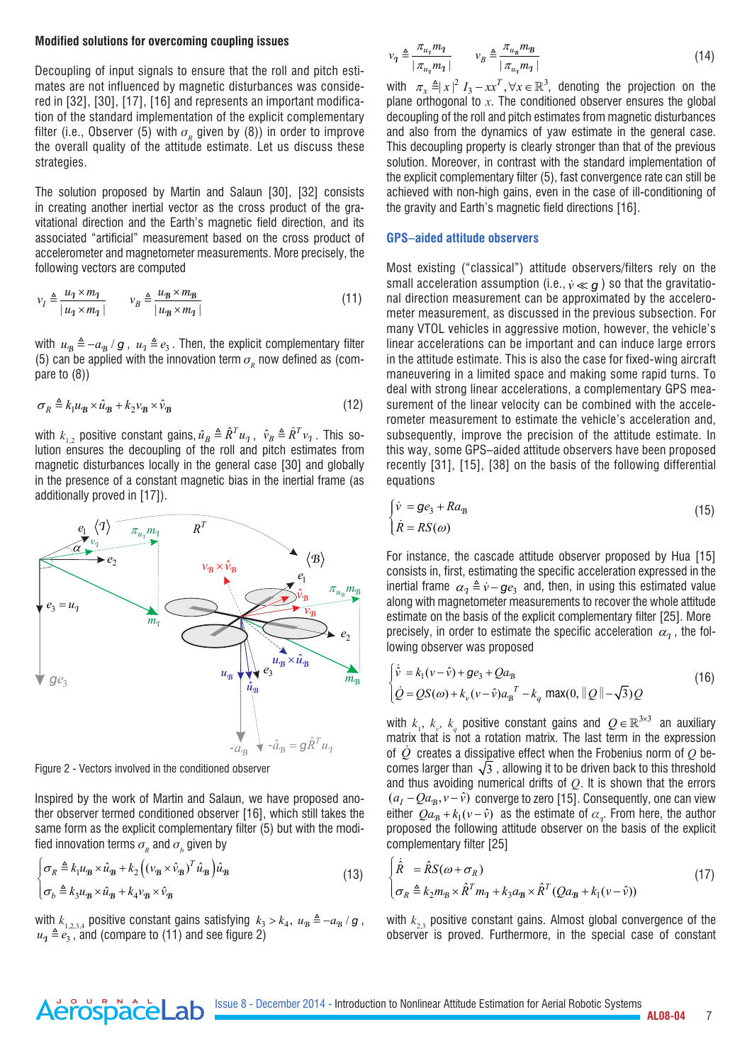#### **Modified solutions for overcoming coupling issues**

Decoupling of input signals to ensure that the roll and pitch estimates are not influenced by magnetic disturbances was considered in [32], [30], [17], [16] and represents an important modification of the standard implementation of the explicit complementary filter (i.e., Observer (5) with  $\sigma<sub>p</sub>$  given by (8)) in order to improve the overall quality of the attitude estimate. Let us discuss these strategies.

The solution proposed by Martin and Salaun [30], [32] consists in creating another inertial vector as the cross product of the gravitational direction and the Earth's magnetic field direction, and its associated "artificial" measurement based on the cross product of accelerometer and magnetometer measurements. More precisely, the following vectors are computed

$$
v_I \triangleq \frac{u_1 \times m_1}{|u_1 \times m_1|} \qquad v_B \triangleq \frac{u_B \times m_B}{|u_B \times m_1|} \tag{11}
$$

with  $u_{\rm B} \triangleq -a_{\rm B} / g$ ,  $u_{\rm T} \triangleq e_3$ . Then, the explicit complementary filter (5) can be applied with the innovation term  $\sigma_{_{\!R}}$  now defined as (compare to (8))

$$
\sigma_R \triangleq k_1 u_B \times \hat{u}_B + k_2 v_B \times \hat{v}_B \tag{12}
$$

with  $k_{1,2}$  positive constant gains,  $\hat{u}_B \triangleq \hat{R}^T u_1$ ,  $\hat{v}_B \triangleq \hat{R}^T v_1$ . This solution ensures the decoupling of the roll and pitch estimates from magnetic disturbances locally in the general case [30] and globally in the presence of a constant magnetic bias in the inertial frame (as additionally proved in [17]).



Figure 2 - Vectors involved in the conditioned observer

AerospaceLab

Inspired by the work of Martin and Salaun, we have proposed another observer termed conditioned observer [16], which still takes the same form as the explicit complementary filter (5) but with the modified innovation terms  $\sigma_{_{\!R}}$  and  $\sigma_{_{\!D}}$  given by

$$
\begin{cases} \n\sigma_R \triangleq k_1 u_B \times \hat{u}_B + k_2 \left( \left( v_B \times \hat{v}_B \right)^T \hat{u}_B \right) \hat{u}_B \\
\sigma_b \triangleq k_3 u_B \times \hat{u}_B + k_4 v_B \times \hat{v}_B\n\end{cases}
$$
\n(13)

with  $k_{1,2,3,4}$  positive constant gains satisfying  $k_3 > k_4$ ,  $u_{\overline{B}} \triangleq -a_{\overline{B}}/g$ ,  $u_1 \triangleq e_3$ , and (compare to (11) and see figure 2)

$$
\nu_q \triangleq \frac{\pi_{u_q} m_q}{|\pi_{u_q} m_q|} \qquad \nu_B \triangleq \frac{\pi_{u_B} m_B}{|\pi_{u_q} m_q|} \tag{14}
$$

with  $\pi_x \triangleq |x|^2 I_3 - xx^T$ ,  $\forall x \in \mathbb{R}^3$ , denoting the projection on the plane orthogonal to  $x$ . The conditioned observer ensures the global decoupling of the roll and pitch estimates from magnetic disturbances and also from the dynamics of yaw estimate in the general case. This decoupling property is clearly stronger than that of the previous solution. Moreover, in contrast with the standard implementation of the explicit complementary filter (5), fast convergence rate can still be achieved with non-high gains, even in the case of ill-conditioning of the gravity and Earth's magnetic field directions [16].

## **GPS–aided attitude observers**

Most existing ("classical") attitude observers/filters rely on the small acceleration assumption (i.e.,  $\dot{v} \ll a$ ) so that the gravitational direction measurement can be approximated by the accelerometer measurement, as discussed in the previous subsection. For many VTOL vehicles in aggressive motion, however, the vehicle's linear accelerations can be important and can induce large errors in the attitude estimate. This is also the case for fixed-wing aircraft maneuvering in a limited space and making some rapid turns. To deal with strong linear accelerations, a complementary GPS measurement of the linear velocity can be combined with the accelerometer measurement to estimate the vehicle's acceleration and, subsequently, improve the precision of the attitude estimate. In this way, some GPS–aided attitude observers have been proposed recently [31], [15], [38] on the basis of the following differential equations

$$
\begin{cases} \dot{v} = ge_3 + Ra_B \\ \dot{R} = RS(\omega) \end{cases}
$$
\n(15)

For instance, the cascade attitude observer proposed by Hua [15] consists in, first, estimating the specific acceleration expressed in the inertial frame  $\alpha_q \triangleq \dot{v} - g e_3$  and, then, in using this estimated value along with magnetometer measurements to recover the whole attitude estimate on the basis of the explicit complementary filter [25]. More precisely, in order to estimate the specific acceleration  $\alpha_{\tau}$ , the following observer was proposed

$$
\begin{cases} \dot{\hat{v}} = k_1(v - \hat{v}) + g e_3 + Q a_8 \\ \dot{Q} = Q S(\omega) + k_v (v - \hat{v}) a_8^T - k_q \max(0, ||Q|| - \sqrt{3}) Q \end{cases}
$$
(16)

with  $k_1$ ,  $k_y$ ,  $k_q$  positive constant gains and  $Q \in \mathbb{R}^{3 \times 3}$  an auxiliary matrix that is not a rotation matrix. The last term in the expression of *Q* creates a dissipative effect when the Frobenius norm of *Q* becomes larger than  $\sqrt{3}$  , allowing it to be driven back to this threshold and thus avoiding numerical drifts of *Q*. It is shown that the errors  $(a_I - Qa_B, v - \hat{v})$  converge to zero [15]. Consequently, one can view either  $Qa_B + k_1(v - \hat{v})$  as the estimate of  $a_q$ . From here, the author proposed the following attitude observer on the basis of the explicit complementary filter [25]

$$
\begin{cases}\n\dot{\hat{R}} = \hat{R}S(\omega + \sigma_R) \\
\sigma_R \triangleq k_2 m_B \times \hat{R}^T m_1 + k_3 a_B \times \hat{R}^T (Q a_B + k_1 (v - \hat{v}))\n\end{cases}
$$
\n(17)

with  $k_{2}$  positive constant gains. Almost global convergence of the observer is proved. Furthermore, in the special case of constant

**AL08-04** 7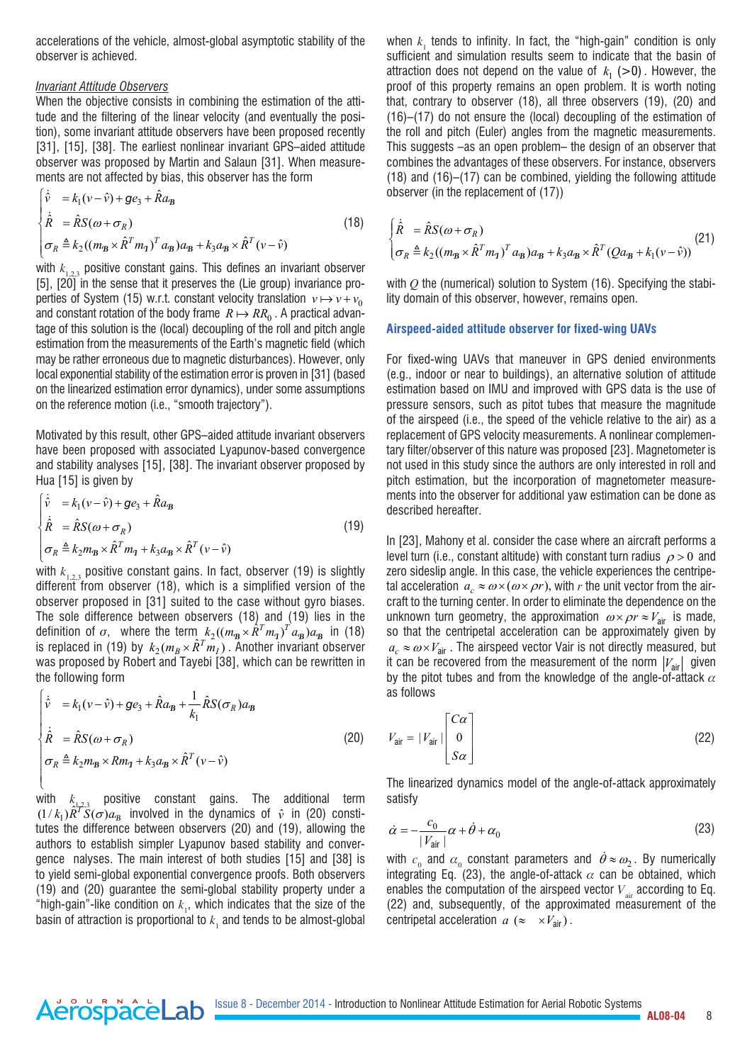accelerations of the vehicle, almost-global asymptotic stability of the observer is achieved.

## *Invariant Attitude Observers*

When the objective consists in combining the estimation of the attitude and the filtering of the linear velocity (and eventually the position), some invariant attitude observers have been proposed recently [31], [15], [38]. The earliest nonlinear invariant GPS-aided attitude observer was proposed by Martin and Salaun [31]. When measurements are not affected by bias, this observer has the form

$$
\begin{cases}\n\dot{\hat{v}} = k_1(v - \hat{v}) + g e_3 + \hat{R} a_B \\
\dot{\hat{R}} = \hat{R} S(\omega + \sigma_R) \\
\sigma_R \triangleq k_2((m_B \times \hat{R}^T m_1)^T a_B) a_B + k_3 a_B \times \hat{R}^T (v - \hat{v})\n\end{cases}
$$
\n(18)

with  $k_{1,23}$  positive constant gains. This defines an invariant observer [5], [20] in the sense that it preserves the (Lie group) invariance properties of System (15) w.r.t. constant velocity translation  $v \mapsto v + v_0$ and constant rotation of the body frame  $R \mapsto RR_0$ . A practical advantage of this solution is the (local) decoupling of the roll and pitch angle estimation from the measurements of the Earth's magnetic field (which may be rather erroneous due to magnetic disturbances). However, only local exponential stability of the estimation error is proven in [31] (based on the linearized estimation error dynamics), under some assumptions on the reference motion (i.e., "smooth trajectory").

Motivated by this result, other GPS–aided attitude invariant observers have been proposed with associated Lyapunov-based convergence and stability analyses [15], [38]. The invariant observer proposed by Hua [15] is given by

$$
\begin{cases}\n\dot{\hat{\mathbf{v}}}\n= k_1(\mathbf{v} - \hat{\mathbf{v}}) + g\mathbf{e}_3 + \hat{R}\mathbf{a}_B \\
\dot{\hat{R}}\n= \hat{R}S(\omega + \sigma_R) \\
\sigma_R \triangleq k_2 m_B \times \hat{R}^T m_1 + k_3 a_B \times \hat{R}^T (\mathbf{v} - \hat{\mathbf{v}})\n\end{cases}
$$
\n(19)

with  $k_{1,2,3}$  positive constant gains. In fact, observer (19) is slightly different from observer (18), which is a simplified version of the observer proposed in [31] suited to the case without gyro biases. The sole difference between observers (18) and (19) lies in the definition of  $\sigma$ , where the term  $k_2((m_B \times \hat{R}^T m_A)^T a_B)a_B$  in (18) is replaced in (19) by  $k_2(m_B \times \hat{R}^T m_I)$  . Another invariant observer was proposed by Robert and Tayebi [38], which can be rewritten in the following form

$$
\begin{cases}\n\dot{\hat{v}} = k_1(v - \hat{v}) + g e_3 + \hat{R} a_{\mathbf{B}} + \frac{1}{k_1} \hat{R} S(\sigma_R) a_{\mathbf{B}} \\
\dot{\hat{R}} = \hat{R} S(\omega + \sigma_R) \\
\sigma_R \triangleq k_2 m_{\mathbf{B}} \times R m_{\mathbf{I}} + k_3 a_{\mathbf{B}} \times \hat{R}^T (v - \hat{v})\n\end{cases}
$$
\n(20)

with *k*1,2,3 positive constant gains. The additional term  $(1/k_1) \hat{R}^T \hat{S}(\sigma) a_B$  involved in the dynamics of  $\hat{v}$  in (20) constitutes the difference between observers (20) and (19), allowing the authors to establish simpler Lyapunov based stability and convergence nalyses. The main interest of both studies [15] and [38] is to yield semi-global exponential convergence proofs. Both observers (19) and (20) guarantee the semi-global stability property under a "high-gain"-like condition on  $k_{1}$ , which indicates that the size of the basin of attraction is proportional to  $k_{_1}$  and tends to be almost-global

AerospaceLab

when  $k_1$  tends to infinity. In fact, the "high-gain" condition is only sufficient and simulation results seem to indicate that the basin of attraction does not depend on the value of  $k_1$  (>0). However, the proof of this property remains an open problem. It is worth noting that, contrary to observer (18), all three observers (19), (20) and (16)–(17) do not ensure the (local) decoupling of the estimation of the roll and pitch (Euler) angles from the magnetic measurements. This suggests –as an open problem– the design of an observer that combines the advantages of these observers. For instance, observers (18) and (16)–(17) can be combined, yielding the following attitude observer (in the replacement of (17))

$$
\begin{cases} \dot{\hat{R}} = \hat{R}S(\omega + \sigma_R) \\ \sigma_R \triangleq k_2((m_B \times \hat{R}^T m_T)^T a_B) a_B + k_3 a_B \times \hat{R}^T (Q a_B + k_1(v - \hat{v})) \end{cases}
$$
(21)

with *Q* the (numerical) solution to System (16). Specifying the stability domain of this observer, however, remains open.

## **Airspeed-aided attitude observer for fixed-wing UAVs**

For fixed-wing UAVs that maneuver in GPS denied environments (e.g., indoor or near to buildings), an alternative solution of attitude estimation based on IMU and improved with GPS data is the use of pressure sensors, such as pitot tubes that measure the magnitude of the airspeed (i.e., the speed of the vehicle relative to the air) as a replacement of GPS velocity measurements. A nonlinear complementary filter/observer of this nature was proposed [23]. Magnetometer is not used in this study since the authors are only interested in roll and pitch estimation, but the incorporation of magnetometer measurements into the observer for additional yaw estimation can be done as described hereafter.

In [23], Mahony et al. consider the case where an aircraft performs a level turn (i.e., constant altitude) with constant turn radius  $\rho > 0$  and zero sideslip angle. In this case, the vehicle experiences the centripetal acceleration  $a_c \approx \omega \times (\omega \times \rho r)$ , with *r* the unit vector from the aircraft to the turning center. In order to eliminate the dependence on the unknown turn geometry, the approximation  $\omega \times \rho r \approx V_{\text{air}}$  is made, so that the centripetal acceleration can be approximately given by  $a_c \approx \omega \times V_{\text{air}}$ . The airspeed vector Vair is not directly measured, but it can be recovered from the measurement of the norm  $|V_{air}|$  given by the pitot tubes and from the knowledge of the angle-of-attack  $\alpha$ as follows

$$
V_{\text{air}} = |V_{\text{air}}| \begin{bmatrix} C\alpha \\ 0 \\ S\alpha \end{bmatrix}
$$
 (22)

The linearized dynamics model of the angle-of-attack approximately satisfy

$$
\dot{\alpha} = -\frac{c_0}{|V_{\text{air}}|} \alpha + \dot{\theta} + \alpha_0 \tag{23}
$$

with  $c_0$  and  $\alpha_0$  constant parameters and  $\dot{\theta} \approx \omega_2$ . By numerically integrating Eq. (23), the angle-of-attack  $\alpha$  can be obtained, which enables the computation of the airspeed vector  $V_{\text{air}}$  according to Eq. (22) and, subsequently, of the approximated measurement of the centripetal acceleration  $a \approx xV_{\text{air}}$ ).

**AL08-04** 8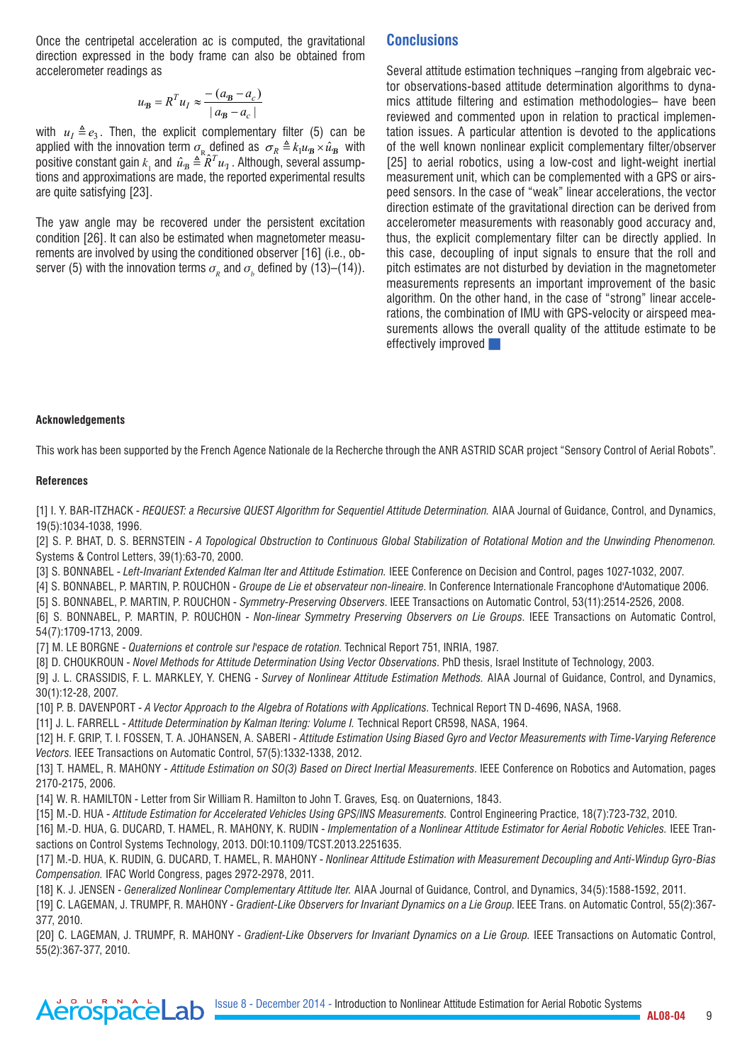Once the centripetal acceleration ac is computed, the gravitational direction expressed in the body frame can also be obtained from accelerometer readings as

$$
u_{\mathbf{B}} = R^T u_I \approx \frac{-\left(a_{\mathbf{B}} - a_c\right)}{\left|a_{\mathbf{B}} - a_c\right|}
$$

with  $u_1 \triangleq e_3$ . Then, the explicit complementary filter (5) can be applied with the innovation term  $\sigma_{\rm R}$  defined as  $\sigma_R \triangleq k_1 u_{\rm B} \times \hat{u}_{\rm B}$  with positive constant gain  $k_1$  and  $\hat{u}_B \triangleq \hat{R}^T u_1$  . Although, several assumptions and approximations are made, the reported experimental results are quite satisfying [23].

The yaw angle may be recovered under the persistent excitation condition [26]. It can also be estimated when magnetometer measurements are involved by using the conditioned observer [16] (i.e., observer (5) with the innovation terms  $\sigma_{_{\!R}}$  and  $\sigma_{_{\!D}}$  defined by (13)–(14)).

# **Conclusions**

Several attitude estimation techniques –ranging from algebraic vector observations-based attitude determination algorithms to dynamics attitude filtering and estimation methodologies– have been reviewed and commented upon in relation to practical implementation issues. A particular attention is devoted to the applications of the well known nonlinear explicit complementary filter/observer [25] to aerial robotics, using a low-cost and light-weight inertial measurement unit, which can be complemented with a GPS or airspeed sensors. In the case of "weak" linear accelerations, the vector direction estimate of the gravitational direction can be derived from accelerometer measurements with reasonably good accuracy and, thus, the explicit complementary filter can be directly applied. In this case, decoupling of input signals to ensure that the roll and pitch estimates are not disturbed by deviation in the magnetometer measurements represents an important improvement of the basic algorithm. On the other hand, in the case of "strong" linear accelerations, the combination of IMU with GPS-velocity or airspeed measurements allows the overall quality of the attitude estimate to be effectively improved

#### **Acknowledgements**

This work has been supported by the French Agence Nationale de la Recherche through the ANR ASTRID SCAR project "Sensory Control of Aerial Robots".

#### **References**

[1] I. Y. BAR-ITZHACK - *REQUEST: a Recursive QUEST Algorithm for Sequentiel Attitude Determination.* AIAA Journal of Guidance, Control, and Dynamics, 19(5):1034-1038, 1996.

[2] S. P. BHAT, D. S. BERNSTEIN - *A Topological Obstruction to Continuous Global Stabilization of Rotational Motion and the Unwinding Phenomenon.* Systems & Control Letters, 39(1):63-70, 2000.

[3] S. BONNABEL - *Left-Invariant Extended Kalman lter and Attitude Estimation.* IEEE Conference on Decision and Control, pages 1027-1032, 2007.

[4] S. BONNABEL, P. MARTIN, P. ROUCHON - *Groupe de Lie et observateur non-lineaire*. In Conference Internationale Francophone d'Automatique 2006.

[5] S. BONNABEL, P. MARTIN, P. ROUCHON - *Symmetry-Preserving Observers*. IEEE Transactions on Automatic Control, 53(11):2514-2526, 2008.

[6] S. BONNABEL, P. MARTIN, P. ROUCHON - *Non-linear Symmetry Preserving Observers on Lie Groups*. IEEE Transactions on Automatic Control, 54(7):1709-1713, 2009.

[7] M. LE BORGNE - *Quaternions et controle sur l'espace de rotation*. Technical Report 751, INRIA, 1987.

[8] D. CHOUKROUN - *Novel Methods for Attitude Determination Using Vector Observations*. PhD thesis, Israel Institute of Technology, 2003.

[9] J. L. CRASSIDIS, F. L. MARKLEY, Y. CHENG - *Survey of Nonlinear Attitude Estimation Methods.* AIAA Journal of Guidance, Control, and Dynamics, 30(1):12-28, 2007.

[10] P. B. DAVENPORT - *A Vector Approach to the Algebra of Rotations with Applications*. Technical Report TN D-4696, NASA, 1968.

[11] J. L. FARRELL - *Attitude Determination by Kalman ltering: Volume I.* Technical Report CR598, NASA, 1964.

[12] H. F. GRIP, T. I. FOSSEN, T. A. JOHANSEN, A. SABERI - *Attitude Estimation Using Biased Gyro and Vector Measurements with Time-Varying Reference Vectors*. IEEE Transactions on Automatic Control, 57(5):1332-1338, 2012.

[13] T. HAMEL, R. MAHONY - *Attitude Estimation on SO(3) Based on Direct Inertial Measurements*. IEEE Conference on Robotics and Automation, pages 2170-2175, 2006.

[14] W. R. HAMILTON - Letter from Sir William R. Hamilton to John T. Graves*,* Esq. on Quaternions, 1843.

[15] M.-D. HUA - *Attitude Estimation for Accelerated Vehicles Using GPS/INS Measurements.* Control Engineering Practice, 18(7):723-732, 2010.

[16] M.-D. HUA, G. DUCARD, T. HAMEL, R. MAHONY, K. RUDIN - *Implementation of a Nonlinear Attitude Estimator for Aerial Robotic Vehicles.* IEEE Transactions on Control Systems Technology, 2013. DOI:10.1109/TCST.2013.2251635.

[17] M.-D. HUA, K. RUDIN, G. DUCARD, T. HAMEL, R. MAHONY - *Nonlinear Attitude Estimation with Measurement Decoupling and Anti-Windup Gyro-Bias Compensation.* IFAC World Congress, pages 2972-2978, 2011.

[18] K. J. JENSEN - *Generalized Nonlinear Complementary Attitude lter.* AIAA Journal of Guidance, Control, and Dynamics, 34(5):1588-1592, 2011.

[19] C. LAGEMAN, J. TRUMPF, R. MAHONY - *Gradient-Like Observers for Invariant Dynamics on a Lie Group*. IEEE Trans. on Automatic Control, 55(2):367- 377, 2010.

[20] C. LAGEMAN, J. TRUMPF, R. MAHONY - *Gradient-Like Observers for Invariant Dynamics on a Lie Group.* IEEE Transactions on Automatic Control, 55(2):367-377, 2010.



Issue 8 - December 2014 - Introduction to Nonlinear Attitude Estimation for Aerial Robotic Systems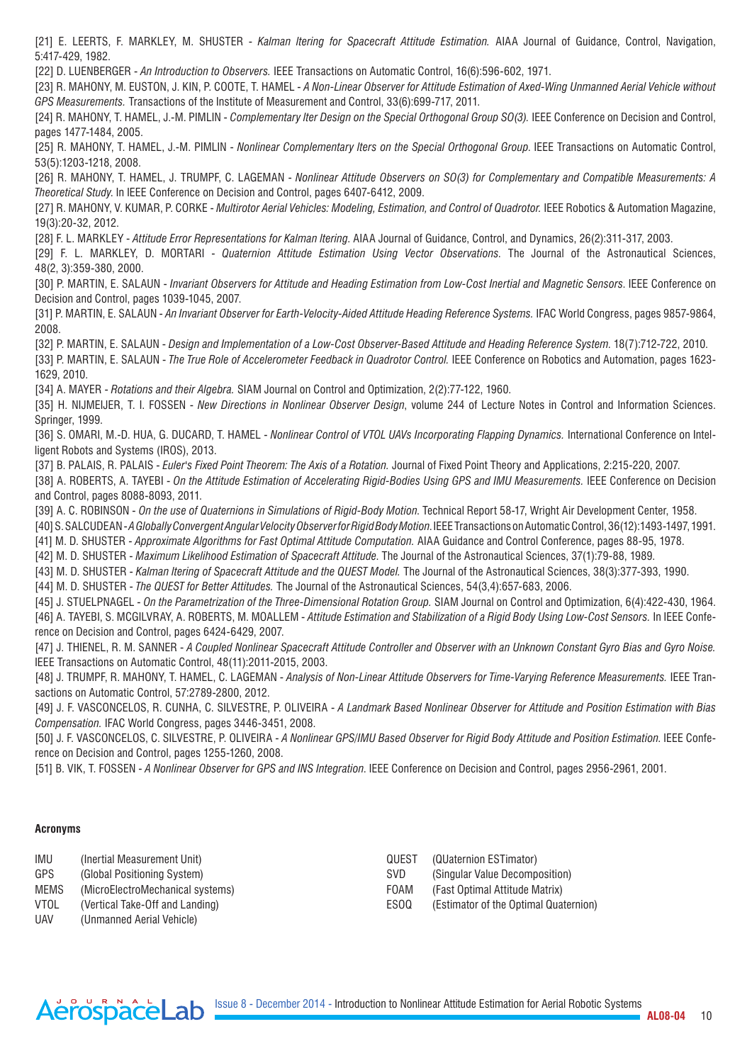[21] E. LEERTS, F. MARKLEY, M. SHUSTER - *Kalman ltering for Spacecraft Attitude Estimation.* AIAA Journal of Guidance, Control, Navigation, 5:417-429, 1982.

[22] D. LUENBERGER - *An Introduction to Observers.* IEEE Transactions on Automatic Control, 16(6):596-602, 1971.

[23] R. MAHONY, M. EUSTON, J. KIN, P. COOTE, T. HAMEL - *A Non-Linear Observer for Attitude Estimation of Axed-Wing Unmanned Aerial Vehicle without GPS Measurements.* Transactions of the Institute of Measurement and Control, 33(6):699-717, 2011.

[24] R. MAHONY, T. HAMEL, J.-M. PIMLIN - *Complementary lter Design on the Special Orthogonal Group SO(3).* IEEE Conference on Decision and Control, pages 1477-1484, 2005.

[25] R. MAHONY, T. HAMEL, J.-M. PIMLIN - *Nonlinear Complementary lters on the Special Orthogonal Group*. IEEE Transactions on Automatic Control, 53(5):1203-1218, 2008.

[26] R. MAHONY, T. HAMEL, J. TRUMPF, C. LAGEMAN - *Nonlinear Attitude Observers on SO(3) for Complementary and Compatible Measurements: A Theoretical Study*. In IEEE Conference on Decision and Control, pages 6407-6412, 2009.

[27] R. MAHONY, V. KUMAR, P. CORKE - *Multirotor Aerial Vehicles: Modeling, Estimation, and Control of Quadrotor.* IEEE Robotics & Automation Magazine, 19(3):20-32, 2012.

[28] F. L. MARKLEY - *Attitude Error Representations for Kalman ltering*. AIAA Journal of Guidance, Control, and Dynamics, 26(2):311-317, 2003.

[29] F. L. MARKLEY, D. MORTARI - *Quaternion Attitude Estimation Using Vector Observations*. The Journal of the Astronautical Sciences, 48(2, 3):359-380, 2000.

[30] P. MARTIN, E. SALAUN - *Invariant Observers for Attitude and Heading Estimation from Low-Cost Inertial and Magnetic Sensors*. IEEE Conference on Decision and Control, pages 1039-1045, 2007.

[31] P. MARTIN, E. SALAUN - *An Invariant Observer for Earth-Velocity-Aided Attitude Heading Reference Systems.* IFAC World Congress, pages 9857-9864, 2008.

[32] P. MARTIN, E. SALAUN - *Design and Implementation of a Low-Cost Observer-Based Attitude and Heading Reference System*. 18(7):712-722, 2010.

[33] P. MARTIN, E. SALAUN - *The True Role of Accelerometer Feedback in Quadrotor Control.* IEEE Conference on Robotics and Automation, pages 1623- 1629, 2010.

[34] A. MAYER - *Rotations and their Algebra.* SIAM Journal on Control and Optimization, 2(2):77-122, 1960.

[35] H. NIJMEIJER, T. I. FOSSEN - *New Directions in Nonlinear Observer Design*, volume 244 of Lecture Notes in Control and Information Sciences. Springer, 1999.

[36] S. OMARI, M.-D. HUA, G. DUCARD, T. HAMEL - *Nonlinear Control of VTOL UAVs Incorporating Flapping Dynamics.* International Conference on Intelligent Robots and Systems (IROS), 2013.

[37] B. PALAIS, R. PALAIS - *Euler's Fixed Point Theorem: The Axis of a Rotation.* Journal of Fixed Point Theory and Applications, 2:215-220, 2007.

[38] A. ROBERTS, A. TAYEBI - *On the Attitude Estimation of Accelerating Rigid-Bodies Using GPS and IMU Measurements.* IEEE Conference on Decision and Control, pages 8088-8093, 2011.

[39] A. C. ROBINSON - *On the use of Quaternions in Simulations of Rigid-Body Motion*. Technical Report 58-17, Wright Air Development Center, 1958.

[40] S. SALCUDEAN - *A Globally Convergent Angular Velocity Observer for Rigid Body Motion*. IEEE Transactions on Automatic Control, 36(12):1493-1497, 1991.

[41] M. D. SHUSTER - *Approximate Algorithms for Fast Optimal Attitude Computation.* AIAA Guidance and Control Conference, pages 88-95, 1978.

[42] M. D. SHUSTER - *Maximum Likelihood Estimation of Spacecraft Attitude*. The Journal of the Astronautical Sciences, 37(1):79-88, 1989.

[43] M. D. SHUSTER - *Kalman ltering of Spacecraft Attitude and the QUEST Model.* The Journal of the Astronautical Sciences, 38(3):377-393, 1990.

[44] M. D. SHUSTER - *The QUEST for Better Attitudes.* The Journal of the Astronautical Sciences, 54(3,4):657-683, 2006.

[45] J. STUELPNAGEL - *On the Parametrization of the Three-Dimensional Rotation Group.* SIAM Journal on Control and Optimization, 6(4):422-430, 1964. [46] A. TAYEBI, S. MCGILVRAY, A. ROBERTS, M. MOALLEM - *Attitude Estimation and Stabilization of a Rigid Body Using Low-Cost Sensors.* In IEEE Conference on Decision and Control, pages 6424-6429, 2007.

[47] J. THIENEL, R. M. SANNER - *A Coupled Nonlinear Spacecraft Attitude Controller and Observer with an Unknown Constant Gyro Bias and Gyro Noise.* IEEE Transactions on Automatic Control, 48(11):2011-2015, 2003.

[48] J. TRUMPF, R. MAHONY, T. HAMEL, C. LAGEMAN - *Analysis of Non-Linear Attitude Observers for Time-Varying Reference Measurements.* IEEE Transactions on Automatic Control, 57:2789-2800, 2012.

[49] J. F. VASCONCELOS, R. CUNHA, C. SILVESTRE, P. OLIVEIRA - *A Landmark Based Nonlinear Observer for Attitude and Position Estimation with Bias Compensation.* IFAC World Congress, pages 3446-3451, 2008.

[50] J. F. VASCONCELOS, C. SILVESTRE, P. OLIVEIRA - *A Nonlinear GPS/IMU Based Observer for Rigid Body Attitude and Position Estimation*. IEEE Conference on Decision and Control, pages 1255-1260, 2008.

[51] B. VIK, T. FOSSEN - *A Nonlinear Observer for GPS and INS Integration*. IEEE Conference on Decision and Control, pages 2956-2961, 2001.

#### **Acronyms**

AerospaceLab

| IMU         | (Inertial Measurement Unit)      | QUEST       | (QUaternion ESTimator)                |
|-------------|----------------------------------|-------------|---------------------------------------|
| <b>GPS</b>  | (Global Positioning System)      | SVD.        | (Singular Value Decomposition)        |
| <b>MEMS</b> | (MicroElectroMechanical systems) | <b>FOAM</b> | (Fast Optimal Attitude Matrix)        |
| VTOL        | (Vertical Take-Off and Landing)  | FSOQ.       | (Estimator of the Optimal Quaternion) |
| <b>UAV</b>  | (Unmanned Aerial Vehicle)        |             |                                       |